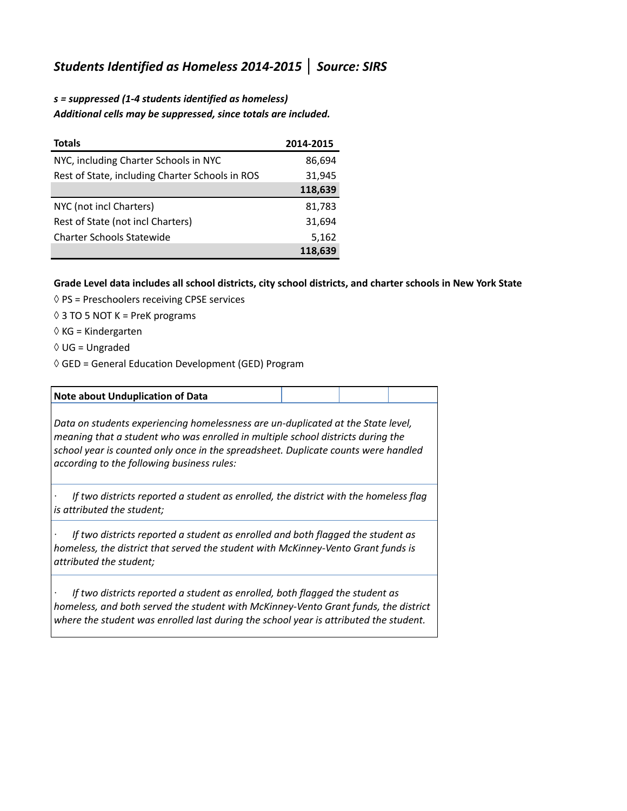## *Students Identified as Homeless 2014-2015* **│** *Source: SIRS*

## *s = suppressed (1-4 students identified as homeless) Additional cells may be suppressed, since totals are included.*

| <b>Totals</b>                                   | 2014-2015 |
|-------------------------------------------------|-----------|
| NYC, including Charter Schools in NYC           | 86,694    |
| Rest of State, including Charter Schools in ROS | 31,945    |
|                                                 | 118,639   |
| NYC (not incl Charters)                         | 81,783    |
| Rest of State (not incl Charters)               | 31,694    |
| <b>Charter Schools Statewide</b>                | 5,162     |
|                                                 | 118,639   |

## **Grade Level data includes all school districts, city school districts, and charter schools in New York State**

- ◊ PS = Preschoolers receiving CPSE services
- $\Diamond$  3 TO 5 NOT K = PreK programs
- $\Diamond$  KG = Kindergarten
- $\Diamond$  UG = Ungraded
- $\Diamond$  GED = General Education Development (GED) Program

## **Note about Unduplication of Data** *Data on students experiencing homelessness are un-duplicated at the State level, meaning that a student who was enrolled in multiple school districts during the school year is counted only once in the spreadsheet. Duplicate counts were handled according to the following business rules:*

*· If two districts reported a student as enrolled, the district with the homeless flag is attributed the student;*

*· If two districts reported a student as enrolled and both flagged the student as homeless, the district that served the student with McKinney-Vento Grant funds is attributed the student;*

*· If two districts reported a student as enrolled, both flagged the student as homeless, and both served the student with McKinney-Vento Grant funds, the district where the student was enrolled last during the school year is attributed the student.*